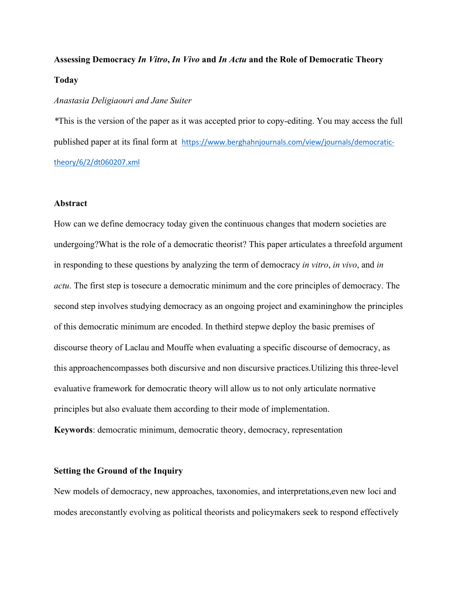# **Assessing Democracy** *In Vitro***,** *In Vivo* **and** *In Actu* **and the Role of Democratic Theory Today**

#### *Anastasia Deligiaouri and Jane Suiter*

*\**This is the version of the paper as it was accepted prior to copy-editing. You may access the full published paper at its final form at https://www.berghahnjournals.com/view/journals/democratictheory/6/2/dt060207.xml

#### **Abstract**

How can we define democracy today given the continuous changes that modern societies are undergoing?What is the role of a democratic theorist? This paper articulates a threefold argument in responding to these questions by analyzing the term of democracy *in vitro*, *in vivo*, and *in actu*. The first step is tosecure a democratic minimum and the core principles of democracy. The second step involves studying democracy as an ongoing project and examininghow the principles of this democratic minimum are encoded. In thethird stepwe deploy the basic premises of discourse theory of Laclau and Mouffe when evaluating a specific discourse of democracy, as this approachencompasses both discursive and non discursive practices.Utilizing this three-level evaluative framework for democratic theory will allow us to not only articulate normative principles but also evaluate them according to their mode of implementation. **Keywords**: democratic minimum, democratic theory, democracy, representation

#### **Setting the Ground of the Inquiry**

New models of democracy, new approaches, taxonomies, and interpretations,even new loci and modes areconstantly evolving as political theorists and policymakers seek to respond effectively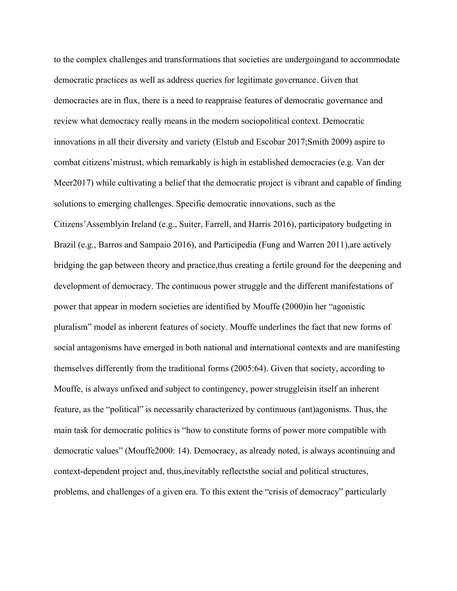to the complex challenges and transformations that societies are undergoingand to accommodate democratic practices as well as address queries for legitimate governance. Given that democracies are in flux, there is a need to reappraise features of democratic governance and review what democracy really means in the modern sociopolitical context. Democratic innovations in all their diversity and variety (Elstub and Escobar 2017;Smith 2009) aspire to combat citizens'mistrust, which remarkably is high in established democracies (e.g. Van der Meer2017) while cultivating a belief that the democratic project is vibrant and capable of finding solutions to emerging challenges. Specific democratic innovations, such as the Citizens'Assemblyin Ireland (e.g., Suiter, Farrell, and Harris 2016), participatory budgeting in Brazil (e.g., Barros and Sampaio 2016), and Participedia (Fung and Warren 2011), are actively bridging the gap between theory and practice,thus creating a fertile ground for the deepening and development of democracy. The continuous power struggle and the different manifestations of power that appear in modern societies are identified by Mouffe (2000)in her "agonistic pluralism" model as inherent features of society. Mouffe underlines the fact that new forms of social antagonisms have emerged in both national and international contexts and are manifesting themselves differently from the traditional forms (2005:64). Given that society, according to Mouffe, is always unfixed and subject to contingency, power struggleisin itself an inherent feature, as the "political" is necessarily characterized by continuous (ant)agonisms. Thus, the main task for democratic politics is "how to constitute forms of power more compatible with democratic values" (Mouffe2000: 14). Democracy, as already noted, is always acontinuing and context-dependent project and, thus,inevitably reflectsthe social and political structures, problems, and challenges of a given era. To this extent the "crisis of democracy" particularly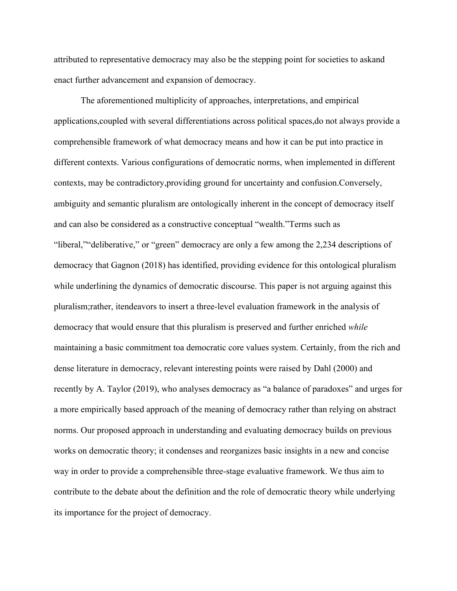attributed to representative democracy may also be the stepping point for societies to askand enact further advancement and expansion of democracy.

The aforementioned multiplicity of approaches, interpretations, and empirical applications,coupled with several differentiations across political spaces,do not always provide a comprehensible framework of what democracy means and how it can be put into practice in different contexts. Various configurations of democratic norms, when implemented in different contexts, may be contradictory,providing ground for uncertainty and confusion.Conversely, ambiguity and semantic pluralism are ontologically inherent in the concept of democracy itself and can also be considered as a constructive conceptual "wealth."Terms such as "liberal,""deliberative," or "green" democracy are only a few among the 2,234 descriptions of democracy that Gagnon (2018) has identified, providing evidence for this ontological pluralism while underlining the dynamics of democratic discourse. This paper is not arguing against this pluralism;rather, itendeavors to insert a three-level evaluation framework in the analysis of democracy that would ensure that this pluralism is preserved and further enriched *while* maintaining a basic commitment toa democratic core values system. Certainly, from the rich and dense literature in democracy, relevant interesting points were raised by Dahl (2000) and recently by A. Taylor (2019), who analyses democracy as "a balance of paradoxes" and urges for a more empirically based approach of the meaning of democracy rather than relying on abstract norms. Our proposed approach in understanding and evaluating democracy builds on previous works on democratic theory; it condenses and reorganizes basic insights in a new and concise way in order to provide a comprehensible three-stage evaluative framework. We thus aim to contribute to the debate about the definition and the role of democratic theory while underlying its importance for the project of democracy.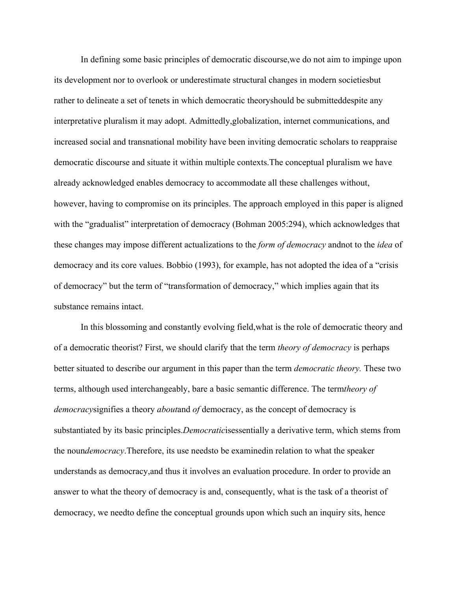In defining some basic principles of democratic discourse,we do not aim to impinge upon its development nor to overlook or underestimate structural changes in modern societiesbut rather to delineate a set of tenets in which democratic theoryshould be submitteddespite any interpretative pluralism it may adopt. Admittedly,globalization, internet communications, and increased social and transnational mobility have been inviting democratic scholars to reappraise democratic discourse and situate it within multiple contexts.The conceptual pluralism we have already acknowledged enables democracy to accommodate all these challenges without, however, having to compromise on its principles. The approach employed in this paper is aligned with the "gradualist" interpretation of democracy (Bohman 2005:294), which acknowledges that these changes may impose different actualizations to the *form of democracy* andnot to the *idea* of democracy and its core values. Bobbio (1993), for example, has not adopted the idea of a "crisis of democracy" but the term of "transformation of democracy," which implies again that its substance remains intact.

In this blossoming and constantly evolving field,what is the role of democratic theory and of a democratic theorist? First, we should clarify that the term *theory of democracy* is perhaps better situated to describe our argument in this paper than the term *democratic theory.* These two terms, although used interchangeably, bare a basic semantic difference. The term*theory of democracy*signifies a theory *about*and *of* democracy, as the concept of democracy is substantiated by its basic principles.*Democratic*isessentially a derivative term, which stems from the noun*democracy*.Therefore, its use needsto be examinedin relation to what the speaker understands as democracy,and thus it involves an evaluation procedure. In order to provide an answer to what the theory of democracy is and, consequently, what is the task of a theorist of democracy, we needto define the conceptual grounds upon which such an inquiry sits, hence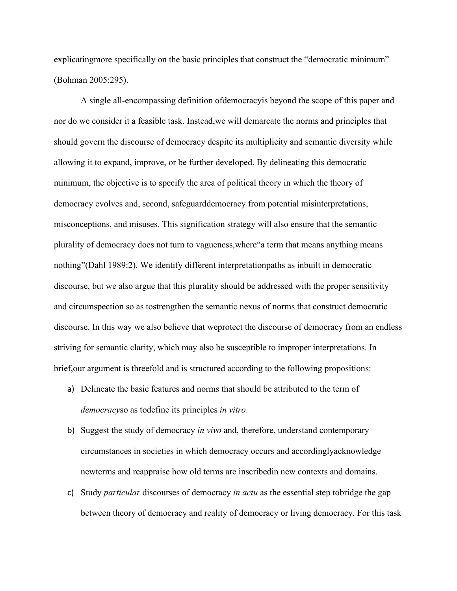explicatingmore specifically on the basic principles that construct the "democratic minimum" (Bohman 2005:295).

A single all-encompassing definition ofdemocracyis beyond the scope of this paper and nor do we consider it a feasible task. Instead,we will demarcate the norms and principles that should govern the discourse of democracy despite its multiplicity and semantic diversity while allowing it to expand, improve, or be further developed. By delineating this democratic minimum, the objective is to specify the area of political theory in which the theory of democracy evolves and, second, safeguarddemocracy from potential misinterpretations, misconceptions, and misuses. This signification strategy will also ensure that the semantic plurality of democracy does not turn to vagueness,where"a term that means anything means nothing"(Dahl 1989:2). We identify different interpretationpaths as inbuilt in democratic discourse, but we also argue that this plurality should be addressed with the proper sensitivity and circumspection so as tostrengthen the semantic nexus of norms that construct democratic discourse. In this way we also believe that weprotect the discourse of democracy from an endless striving for semantic clarity, which may also be susceptible to improper interpretations. In brief,our argument is threefold and is structured according to the following propositions:

- a) Delineate the basic features and norms that should be attributed to the term of *democracy*so as todefine its principles *in vitro*.
- b) Suggest the study of democracy *in vivo* and, therefore, understand contemporary circumstances in societies in which democracy occurs and accordinglyacknowledge newterms and reappraise how old terms are inscribedin new contexts and domains.
- c) Study *particular* discourses of democracy *in actu* as the essential step tobridge the gap between theory of democracy and reality of democracy or living democracy. For this task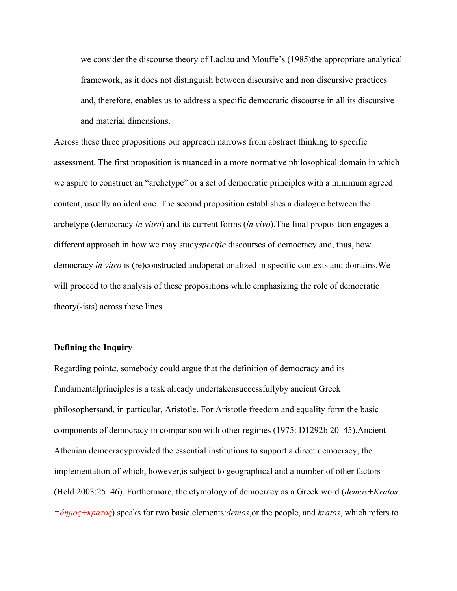we consider the discourse theory of Laclau and Mouffe's (1985)the appropriate analytical framework, as it does not distinguish between discursive and non discursive practices and, therefore, enables us to address a specific democratic discourse in all its discursive and material dimensions.

Across these three propositions our approach narrows from abstract thinking to specific assessment. The first proposition is nuanced in a more normative philosophical domain in which we aspire to construct an "archetype" or a set of democratic principles with a minimum agreed content, usually an ideal one. The second proposition establishes a dialogue between the archetype (democracy *in vitro*) and its current forms (*in vivo*).The final proposition engages a different approach in how we may study*specific* discourses of democracy and, thus, how democracy *in vitro* is (re)constructed andoperationalized in specific contexts and domains.We will proceed to the analysis of these propositions while emphasizing the role of democratic theory(-ists) across these lines.

#### **Defining the Inquiry**

Regarding point*a*, somebody could argue that the definition of democracy and its fundamentalprinciples is a task already undertakensuccessfullyby ancient Greek philosophersand, in particular, Aristotle. For Aristotle freedom and equality form the basic components of democracy in comparison with other regimes (1975: D1292b 20–45).Ancient Athenian democracyprovided the essential institutions to support a direct democracy, the implementation of which, however,is subject to geographical and a number of other factors (Held 2003:25–46). Furthermore, the etymology of democracy as a Greek word (*demos+Kratos =δημος+κρατος*) speaks for two basic elements:*demos*,or the people, and *kratos*, which refers to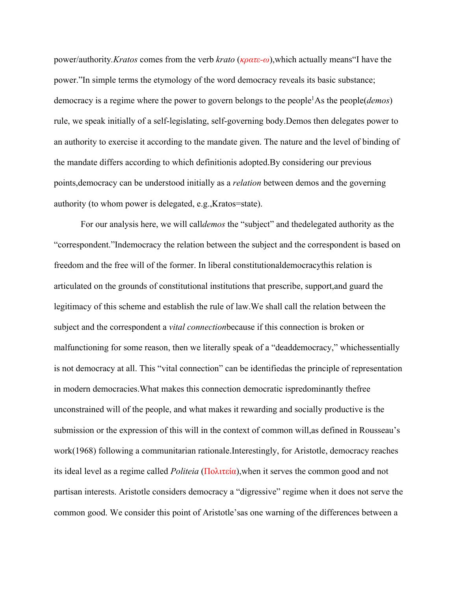power/authority*.Kratos* comes from the verb *krato* (*κρατε-ω*),which actually means"I have the power."In simple terms the etymology of the word democracy reveals its basic substance; democracy is a regime where the power to govern belongs to the people1As the people(*demos*) rule, we speak initially of a self-legislating, self-governing body.Demos then delegates power to an authority to exercise it according to the mandate given. The nature and the level of binding of the mandate differs according to which definitionis adopted.By considering our previous points,democracy can be understood initially as a *relation* between demos and the governing authority (to whom power is delegated, e.g.,Kratos=state).

For our analysis here, we will call*demos* the "subject" and thedelegated authority as the "correspondent."Indemocracy the relation between the subject and the correspondent is based on freedom and the free will of the former. In liberal constitutionaldemocracythis relation is articulated on the grounds of constitutional institutions that prescribe, support,and guard the legitimacy of this scheme and establish the rule of law.We shall call the relation between the subject and the correspondent a *vital connection*because if this connection is broken or malfunctioning for some reason, then we literally speak of a "deaddemocracy," whichessentially is not democracy at all. This "vital connection" can be identifiedas the principle of representation in modern democracies.What makes this connection democratic ispredominantly thefree unconstrained will of the people, and what makes it rewarding and socially productive is the submission or the expression of this will in the context of common will,as defined in Rousseau's work(1968) following a communitarian rationale.Interestingly, for Aristotle, democracy reaches its ideal level as a regime called *Politeia* (Πολιτεία),when it serves the common good and not partisan interests. Aristotle considers democracy a "digressive" regime when it does not serve the common good. We consider this point of Aristotle'sas one warning of the differences between a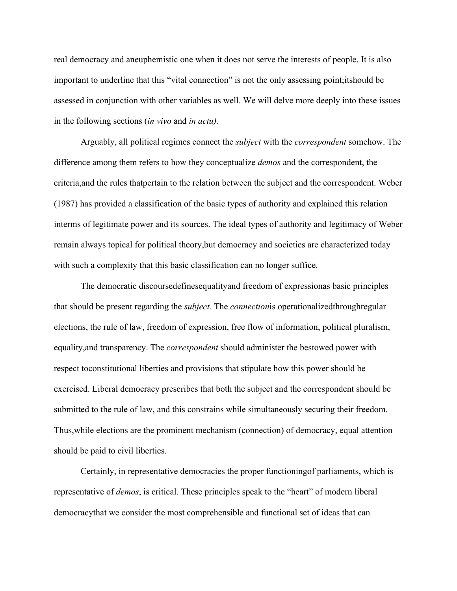real democracy and aneuphemistic one when it does not serve the interests of people. It is also important to underline that this "vital connection" is not the only assessing point;itshould be assessed in conjunction with other variables as well. We will delve more deeply into these issues in the following sections (*in vivo* and *in actu).*

Arguably, all political regimes connect the *subject* with the *correspondent* somehow. The difference among them refers to how they conceptualize *demos* and the correspondent, the criteria,and the rules thatpertain to the relation between the subject and the correspondent. Weber (1987) has provided a classification of the basic types of authority and explained this relation interms of legitimate power and its sources. The ideal types of authority and legitimacy of Weber remain always topical for political theory,but democracy and societies are characterized today with such a complexity that this basic classification can no longer suffice.

The democratic discoursedefinesequalityand freedom of expressionas basic principles that should be present regarding the *subject.* The *connection*is operationalizedthroughregular elections, the rule of law, freedom of expression, free flow of information, political pluralism, equality,and transparency. The *correspondent* should administer the bestowed power with respect toconstitutional liberties and provisions that stipulate how this power should be exercised. Liberal democracy prescribes that both the subject and the correspondent should be submitted to the rule of law, and this constrains while simultaneously securing their freedom. Thus,while elections are the prominent mechanism (connection) of democracy, equal attention should be paid to civil liberties.

Certainly, in representative democracies the proper functioningof parliaments, which is representative of *demos*, is critical. These principles speak to the "heart" of modern liberal democracythat we consider the most comprehensible and functional set of ideas that can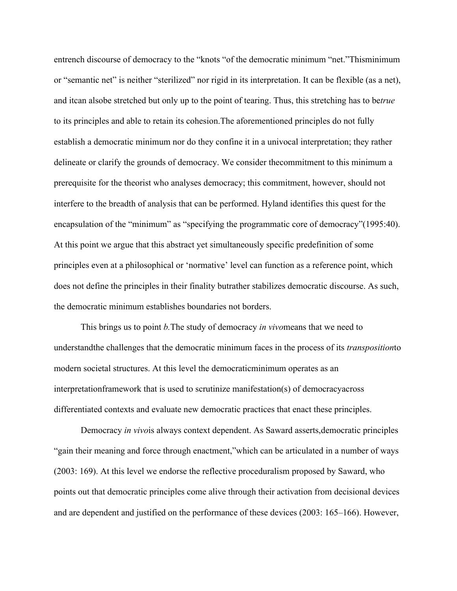entrench discourse of democracy to the "knots "of the democratic minimum "net."Thisminimum or "semantic net" is neither "sterilized" nor rigid in its interpretation. It can be flexible (as a net), and itcan alsobe stretched but only up to the point of tearing. Thus, this stretching has to be*true* to its principles and able to retain its cohesion.The aforementioned principles do not fully establish a democratic minimum nor do they confine it in a univocal interpretation; they rather delineate or clarify the grounds of democracy. We consider thecommitment to this minimum a prerequisite for the theorist who analyses democracy; this commitment, however, should not interfere to the breadth of analysis that can be performed. Hyland identifies this quest for the encapsulation of the "minimum" as "specifying the programmatic core of democracy"(1995:40). At this point we argue that this abstract yet simultaneously specific predefinition of some principles even at a philosophical or 'normative' level can function as a reference point, which does not define the principles in their finality butrather stabilizes democratic discourse. As such, the democratic minimum establishes boundaries not borders.

This brings us to point *b.*The study of democracy *in vivo*means that we need to understandthe challenges that the democratic minimum faces in the process of its *transposition*to modern societal structures. At this level the democraticminimum operates as an interpretationframework that is used to scrutinize manifestation(s) of democracyacross differentiated contexts and evaluate new democratic practices that enact these principles.

Democracy *in vivo*is always context dependent. As Saward asserts,democratic principles "gain their meaning and force through enactment,"which can be articulated in a number of ways (2003: 169). At this level we endorse the reflective proceduralism proposed by Saward, who points out that democratic principles come alive through their activation from decisional devices and are dependent and justified on the performance of these devices (2003: 165–166). However,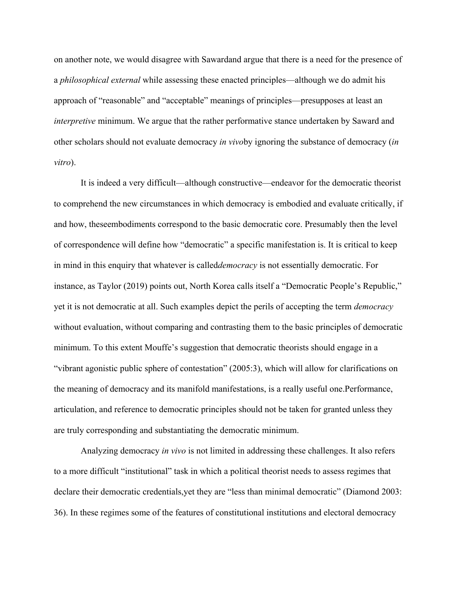on another note, we would disagree with Sawardand argue that there is a need for the presence of a *philosophical external* while assessing these enacted principles—although we do admit his approach of "reasonable" and "acceptable" meanings of principles—presupposes at least an *interpretive* minimum. We argue that the rather performative stance undertaken by Saward and other scholars should not evaluate democracy *in vivo*by ignoring the substance of democracy (*in vitro*).

It is indeed a very difficult—although constructive—endeavor for the democratic theorist to comprehend the new circumstances in which democracy is embodied and evaluate critically, if and how, theseembodiments correspond to the basic democratic core. Presumably then the level of correspondence will define how "democratic" a specific manifestation is. It is critical to keep in mind in this enquiry that whatever is called*democracy* is not essentially democratic. For instance, as Taylor (2019) points out, North Korea calls itself a "Democratic People's Republic," yet it is not democratic at all. Such examples depict the perils of accepting the term *democracy* without evaluation, without comparing and contrasting them to the basic principles of democratic minimum. To this extent Mouffe's suggestion that democratic theorists should engage in a "vibrant agonistic public sphere of contestation" (2005:3), which will allow for clarifications on the meaning of democracy and its manifold manifestations, is a really useful one.Performance, articulation, and reference to democratic principles should not be taken for granted unless they are truly corresponding and substantiating the democratic minimum.

Analyzing democracy *in vivo* is not limited in addressing these challenges. It also refers to a more difficult "institutional" task in which a political theorist needs to assess regimes that declare their democratic credentials,yet they are "less than minimal democratic" (Diamond 2003: 36). In these regimes some of the features of constitutional institutions and electoral democracy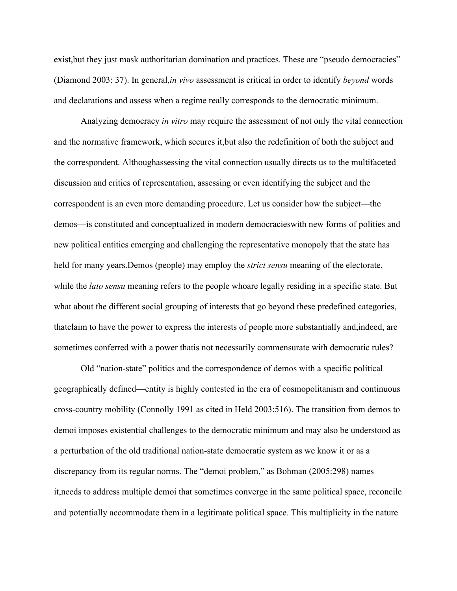exist, but they just mask authoritarian domination and practices. These are "pseudo democracies" (Diamond 2003: 37). In general,*in vivo* assessment is critical in order to identify *beyond* words and declarations and assess when a regime really corresponds to the democratic minimum.

Analyzing democracy *in vitro* may require the assessment of not only the vital connection and the normative framework, which secures it,but also the redefinition of both the subject and the correspondent. Althoughassessing the vital connection usually directs us to the multifaceted discussion and critics of representation, assessing or even identifying the subject and the correspondent is an even more demanding procedure. Let us consider how the subject—the demos—is constituted and conceptualized in modern democracieswith new forms of polities and new political entities emerging and challenging the representative monopoly that the state has held for many years.Demos (people) may employ the *strict sensu* meaning of the electorate, while the *lato sensu* meaning refers to the people whoare legally residing in a specific state. But what about the different social grouping of interests that go beyond these predefined categories, thatclaim to have the power to express the interests of people more substantially and,indeed, are sometimes conferred with a power thatis not necessarily commensurate with democratic rules?

Old "nation-state" politics and the correspondence of demos with a specific political geographically defined—entity is highly contested in the era of cosmopolitanism and continuous cross-country mobility (Connolly 1991 as cited in Held 2003:516). The transition from demos to demoi imposes existential challenges to the democratic minimum and may also be understood as a perturbation of the old traditional nation-state democratic system as we know it or as a discrepancy from its regular norms. The "demoi problem," as Bohman (2005:298) names it,needs to address multiple demoi that sometimes converge in the same political space, reconcile and potentially accommodate them in a legitimate political space. This multiplicity in the nature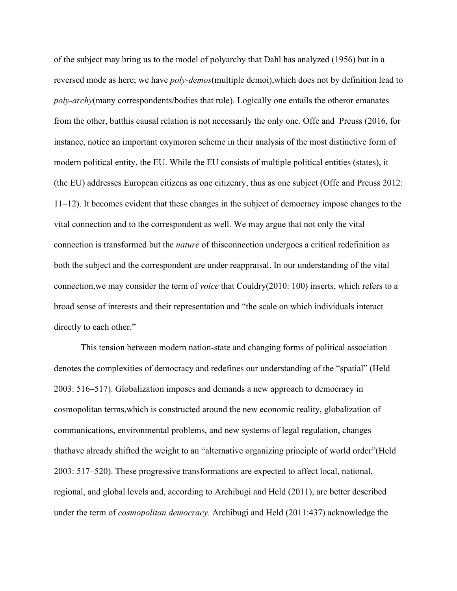of the subject may bring us to the model of polyarchy that Dahl has analyzed (1956) but in a reversed mode as here; we have *poly-demos*(multiple demoi),which does not by definition lead to *poly-archy*(many correspondents/bodies that rule). Logically one entails the otheror emanates from the other, butthis causal relation is not necessarily the only one. Offe and Preuss (2016, for instance, notice an important oxymoron scheme in their analysis of the most distinctive form of modern political entity, the EU. While the EU consists of multiple political entities (states), it (the EU) addresses European citizens as one citizenry, thus as one subject (Offe and Preuss 2012: 11–12). It becomes evident that these changes in the subject of democracy impose changes to the vital connection and to the correspondent as well. We may argue that not only the vital connection is transformed but the *nature* of thisconnection undergoes a critical redefinition as both the subject and the correspondent are under reappraisal. In our understanding of the vital connection,we may consider the term of *voice* that Couldry(2010: 100) inserts, which refers to a broad sense of interests and their representation and "the scale on which individuals interact directly to each other."

This tension between modern nation-state and changing forms of political association denotes the complexities of democracy and redefines our understanding of the "spatial" (Held 2003: 516–517). Globalization imposes and demands a new approach to democracy in cosmopolitan terms,which is constructed around the new economic reality, globalization of communications, environmental problems, and new systems of legal regulation, changes thathave already shifted the weight to an "alternative organizing principle of world order"(Held 2003: 517–520). These progressive transformations are expected to affect local, national, regional, and global levels and, according to Archibugi and Held (2011), are better described under the term of *cosmopolitan democracy*. Archibugi and Held (2011:437) acknowledge the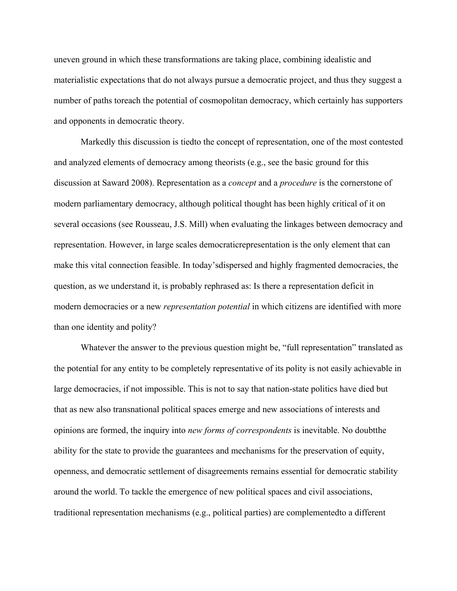uneven ground in which these transformations are taking place, combining idealistic and materialistic expectations that do not always pursue a democratic project, and thus they suggest a number of paths toreach the potential of cosmopolitan democracy, which certainly has supporters and opponents in democratic theory.

Markedly this discussion is tiedto the concept of representation, one of the most contested and analyzed elements of democracy among theorists (e.g., see the basic ground for this discussion at Saward 2008). Representation as a *concept* and a *procedure* is the cornerstone of modern parliamentary democracy, although political thought has been highly critical of it on several occasions (see Rousseau, J.S. Mill) when evaluating the linkages between democracy and representation. However, in large scales democraticrepresentation is the only element that can make this vital connection feasible. In today'sdispersed and highly fragmented democracies, the question, as we understand it, is probably rephrased as: Is there a representation deficit in modern democracies or a new *representation potential* in which citizens are identified with more than one identity and polity?

Whatever the answer to the previous question might be, "full representation" translated as the potential for any entity to be completely representative of its polity is not easily achievable in large democracies, if not impossible. This is not to say that nation-state politics have died but that as new also transnational political spaces emerge and new associations of interests and opinions are formed, the inquiry into *new forms of correspondents* is inevitable. No doubtthe ability for the state to provide the guarantees and mechanisms for the preservation of equity, openness, and democratic settlement of disagreements remains essential for democratic stability around the world. To tackle the emergence of new political spaces and civil associations, traditional representation mechanisms (e.g., political parties) are complementedto a different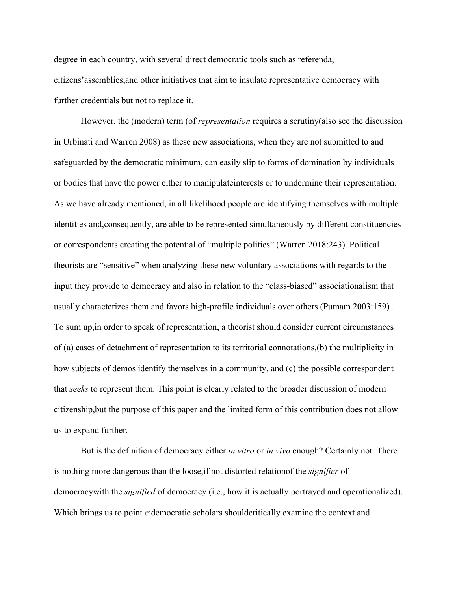degree in each country, with several direct democratic tools such as referenda, citizens'assemblies,and other initiatives that aim to insulate representative democracy with further credentials but not to replace it.

However, the (modern) term (of *representation* requires a scrutiny(also see the discussion in Urbinati and Warren 2008) as these new associations, when they are not submitted to and safeguarded by the democratic minimum, can easily slip to forms of domination by individuals or bodies that have the power either to manipulateinterests or to undermine their representation. As we have already mentioned, in all likelihood people are identifying themselves with multiple identities and,consequently, are able to be represented simultaneously by different constituencies or correspondents creating the potential of "multiple polities" (Warren 2018:243). Political theorists are "sensitive" when analyzing these new voluntary associations with regards to the input they provide to democracy and also in relation to the "class-biased" associationalism that usually characterizes them and favors high-profile individuals over others (Putnam 2003:159) . To sum up,in order to speak of representation, a theorist should consider current circumstances of (a) cases of detachment of representation to its territorial connotations,(b) the multiplicity in how subjects of demos identify themselves in a community, and (c) the possible correspondent that *seeks* to represent them. This point is clearly related to the broader discussion of modern citizenship,but the purpose of this paper and the limited form of this contribution does not allow us to expand further.

But is the definition of democracy either *in vitro* or *in vivo* enough? Certainly not. There is nothing more dangerous than the loose,if not distorted relationof the *signifier* of democracywith the *signified* of democracy (i.e., how it is actually portrayed and operationalized). Which brings us to point *c*: democratic scholars shouldcritically examine the context and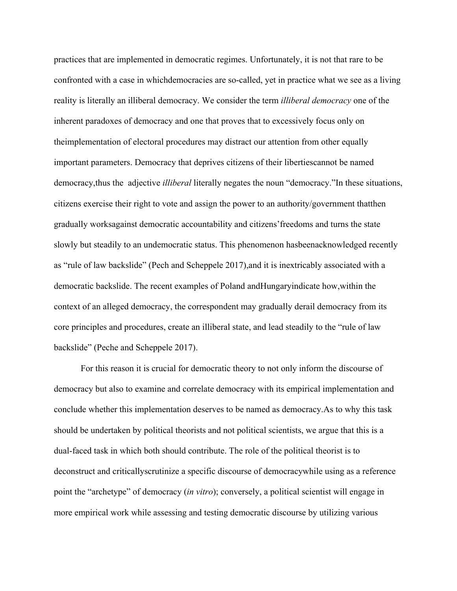practices that are implemented in democratic regimes. Unfortunately, it is not that rare to be confronted with a case in whichdemocracies are so-called, yet in practice what we see as a living reality is literally an illiberal democracy. We consider the term *illiberal democracy* one of the inherent paradoxes of democracy and one that proves that to excessively focus only on theimplementation of electoral procedures may distract our attention from other equally important parameters. Democracy that deprives citizens of their libertiescannot be named democracy,thus the adjective *illiberal* literally negates the noun "democracy."In these situations, citizens exercise their right to vote and assign the power to an authority/government thatthen gradually worksagainst democratic accountability and citizens'freedoms and turns the state slowly but steadily to an undemocratic status. This phenomenon hasbeenacknowledged recently as "rule of law backslide" (Pech and Scheppele 2017),and it is inextricably associated with a democratic backslide. The recent examples of Poland andHungaryindicate how,within the context of an alleged democracy, the correspondent may gradually derail democracy from its core principles and procedures, create an illiberal state, and lead steadily to the "rule of law backslide" (Peche and Scheppele 2017).

For this reason it is crucial for democratic theory to not only inform the discourse of democracy but also to examine and correlate democracy with its empirical implementation and conclude whether this implementation deserves to be named as democracy.As to why this task should be undertaken by political theorists and not political scientists, we argue that this is a dual-faced task in which both should contribute. The role of the political theorist is to deconstruct and criticallyscrutinize a specific discourse of democracywhile using as a reference point the "archetype" of democracy (*in vitro*); conversely, a political scientist will engage in more empirical work while assessing and testing democratic discourse by utilizing various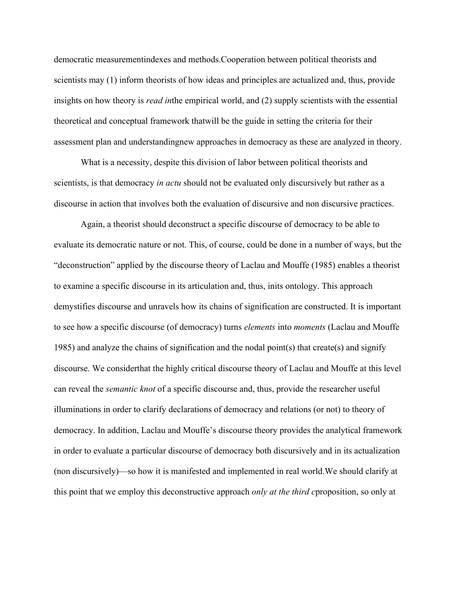democratic measurementindexes and methods.Cooperation between political theorists and scientists may (1) inform theorists of how ideas and principles are actualized and, thus, provide insights on how theory is *read in*the empirical world, and (2) supply scientists with the essential theoretical and conceptual framework thatwill be the guide in setting the criteria for their assessment plan and understandingnew approaches in democracy as these are analyzed in theory.

What is a necessity, despite this division of labor between political theorists and scientists, is that democracy *in actu* should not be evaluated only discursively but rather as a discourse in action that involves both the evaluation of discursive and non discursive practices.

Again, a theorist should deconstruct a specific discourse of democracy to be able to evaluate its democratic nature or not. This, of course, could be done in a number of ways, but the "deconstruction" applied by the discourse theory of Laclau and Mouffe (1985) enables a theorist to examine a specific discourse in its articulation and, thus, inits ontology. This approach demystifies discourse and unravels how its chains of signification are constructed. It is important to see how a specific discourse (of democracy) turns *elements* into *moments* (Laclau and Mouffe 1985) and analyze the chains of signification and the nodal point(s) that create(s) and signify discourse. We considerthat the highly critical discourse theory of Laclau and Mouffe at this level can reveal the *semantic knot* of a specific discourse and, thus, provide the researcher useful illuminations in order to clarify declarations of democracy and relations (or not) to theory of democracy. In addition, Laclau and Mouffe's discourse theory provides the analytical framework in order to evaluate a particular discourse of democracy both discursively and in its actualization (non discursively)—so how it is manifested and implemented in real world.We should clarify at this point that we employ this deconstructive approach *only at the third c*proposition, so only at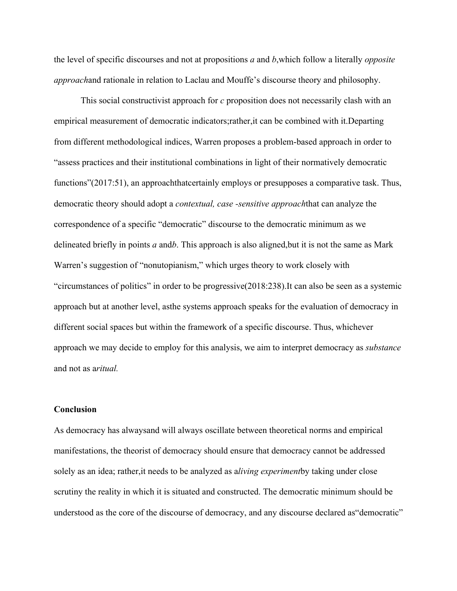the level of specific discourses and not at propositions *a* and *b*,which follow a literally *opposite approach*and rationale in relation to Laclau and Mouffe's discourse theory and philosophy.

This social constructivist approach for *c* proposition does not necessarily clash with an empirical measurement of democratic indicators;rather,it can be combined with it.Departing from different methodological indices, Warren proposes a problem-based approach in order to "assess practices and their institutional combinations in light of their normatively democratic functions" (2017:51), an approachthatcertainly employs or presupposes a comparative task. Thus, democratic theory should adopt a *contextual, case -sensitive approach*that can analyze the correspondence of a specific "democratic" discourse to the democratic minimum as we delineated briefly in points *a* and*b*. This approach is also aligned,but it is not the same as Mark Warren's suggestion of "nonutopianism," which urges theory to work closely with "circumstances of politics" in order to be progressive(2018:238).It can also be seen as a systemic approach but at another level, asthe systems approach speaks for the evaluation of democracy in different social spaces but within the framework of a specific discourse. Thus, whichever approach we may decide to employ for this analysis, we aim to interpret democracy as *substance* and not as a*ritual.*

## **Conclusion**

As democracy has alwaysand will always oscillate between theoretical norms and empirical manifestations, the theorist of democracy should ensure that democracy cannot be addressed solely as an idea; rather,it needs to be analyzed as a*living experiment*by taking under close scrutiny the reality in which it is situated and constructed. The democratic minimum should be understood as the core of the discourse of democracy, and any discourse declared as"democratic"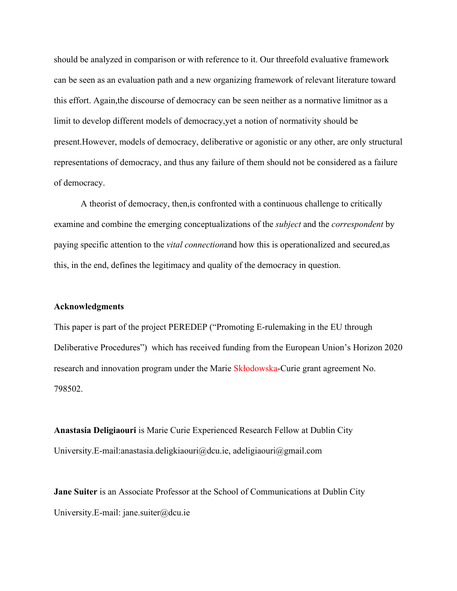should be analyzed in comparison or with reference to it. Our threefold evaluative framework can be seen as an evaluation path and a new organizing framework of relevant literature toward this effort. Again,the discourse of democracy can be seen neither as a normative limitnor as a limit to develop different models of democracy,yet a notion of normativity should be present.However, models of democracy, deliberative or agonistic or any other, are only structural representations of democracy, and thus any failure of them should not be considered as a failure of democracy.

A theorist of democracy, then,is confronted with a continuous challenge to critically examine and combine the emerging conceptualizations of the *subject* and the *correspondent* by paying specific attention to the *vital connection*and how this is operationalized and secured,as this, in the end, defines the legitimacy and quality of the democracy in question.

#### **Acknowledgments**

This paper is part of the project PEREDEP ("Promoting E-rulemaking in the EU through Deliberative Procedures") which has received funding from the European Union's Horizon 2020 research and innovation program under the Marie Skłodowska-Curie grant agreement No. 798502.

**Anastasia Deligiaouri** is Marie Curie Experienced Research Fellow at Dublin City University.E-mail:anastasia.deligkiaouri@dcu.ie, adeligiaouri@gmail.com

**Jane Suiter** is an Associate Professor at the School of Communications at Dublin City University.E-mail: jane.suiter@dcu.ie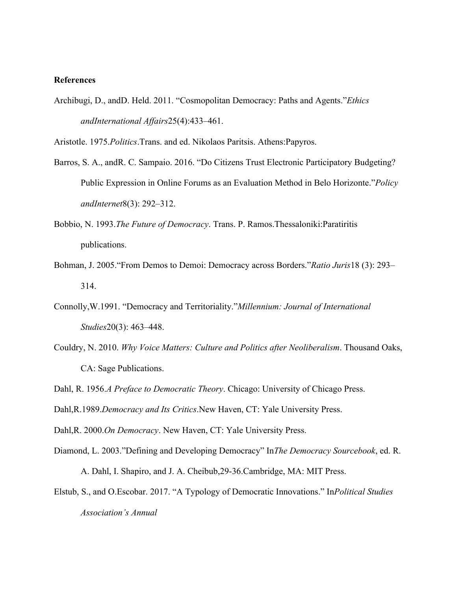## **References**

Archibugi, D., andD. Held. 2011. "Cosmopolitan Democracy: Paths and Agents."*Ethics andInternational Affairs*25(4):433–461.

Aristotle. 1975.*Politics*.Trans. and ed. Nikolaos Paritsis. Athens:Papyros.

- Barros, S. A., andR. C. Sampaio. 2016. "Do Citizens Trust Electronic Participatory Budgeting? Public Expression in Online Forums as an Evaluation Method in Belo Horizonte."*Policy andInternet*8(3): 292–312.
- Bobbio, N. 1993.*The Future of Democracy*. Trans. P. Ramos.Thessaloniki:Paratiritis publications.
- Bohman, J. 2005."From Demos to Demoi: Democracy across Borders."*Ratio Juris*18 (3): 293– 314.
- Connolly,W.1991. "Democracy and Territoriality."*Millennium: Journal of International Studies*20(3): 463–448.
- Couldry, N. 2010. *Why Voice Matters: Culture and Politics after Neoliberalism*. Thousand Oaks, CA: Sage Publications.

Dahl, R. 1956.*A Preface to Democratic Theory*. Chicago: University of Chicago Press.

Dahl,R.1989.*Democracy and Its Critics*.New Haven, CT: Yale University Press.

Dahl,R. 2000.*On Democracy*. New Haven, CT: Yale University Press.

- Diamond, L. 2003."Defining and Developing Democracy" In*The Democracy Sourcebook*, ed. R. A. Dahl, I. Shapiro, and J. A. Cheibub,29-36.Cambridge, MA: MIT Press.
- Elstub, S., and O.Escobar. 2017. "A Typology of Democratic Innovations." In*Political Studies Association's Annual*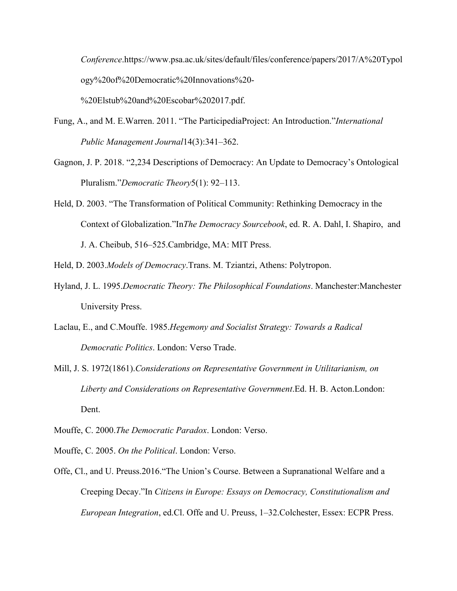*Conference*.https://www.psa.ac.uk/sites/default/files/conference/papers/2017/A%20Typol ogy%20of%20Democratic%20Innovations%20-

Fung, A., and M. E.Warren. 2011. "The ParticipediaProject: An Introduction."*International Public Management Journal*14(3):341–362.

%20Elstub%20and%20Escobar%202017.pdf.

- Gagnon, J. P. 2018. "2,234 Descriptions of Democracy: An Update to Democracy's Ontological Pluralism."*Democratic Theory*5(1): 92–113.
- Held, D. 2003. "The Transformation of Political Community: Rethinking Democracy in the Context of Globalization."In*The Democracy Sourcebook*, ed. R. A. Dahl, I. Shapiro, and J. A. Cheibub, 516–525.Cambridge, MA: MIT Press.
- Held, D. 2003.*Models of Democracy*.Trans. M. Tziantzi, Athens: Polytropon.
- Hyland, J. L. 1995.*Democratic Theory: The Philosophical Foundations*. Manchester:Manchester University Press.
- Laclau, E., and C.Mouffe. 1985.*Hegemony and Socialist Strategy: Towards a Radical Democratic Politics*. London: Verso Trade.
- Mill, J. S. 1972(1861).*Considerations on Representative Government in Utilitarianism, on Liberty and Considerations on Representative Government*.Ed. H. B. Acton.London: Dent.
- Mouffe, C. 2000.*The Democratic Paradox*. London: Verso.
- Mouffe, C. 2005. *On the Political*. London: Verso.
- Offe, Cl., and U. Preuss.2016."The Union's Course. Between a Supranational Welfare and a Creeping Decay."In *Citizens in Europe: Essays on Democracy, Constitutionalism and European Integration*, ed.Cl. Offe and U. Preuss, 1–32.Colchester, Essex: ECPR Press.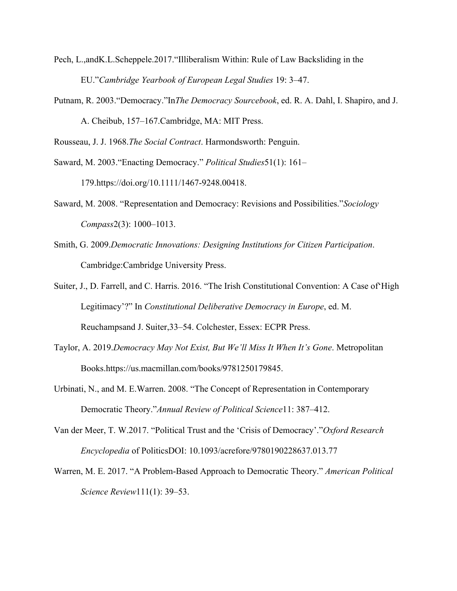- Pech, L.,andK.L.Scheppele.2017."Illiberalism Within: Rule of Law Backsliding in the EU."*Cambridge Yearbook of European Legal Studies* 19: 3–47.
- Putnam, R. 2003."Democracy."In*The Democracy Sourcebook*, ed. R. A. Dahl, I. Shapiro, and J. A. Cheibub, 157–167.Cambridge, MA: MIT Press.

Rousseau, J. J. 1968.*The Social Contract*. Harmondsworth: Penguin.

Saward, M. 2003."Enacting Democracy." *Political Studies*51(1): 161– 179.https://doi.org/10.1111/1467-9248.00418.

- Saward, M. 2008. "Representation and Democracy: Revisions and Possibilities."*Sociology Compass*2(3): 1000–1013.
- Smith, G. 2009.*Democratic Innovations: Designing Institutions for Citizen Participation*. Cambridge:Cambridge University Press.
- Suiter, J., D. Farrell, and C. Harris. 2016. "The Irish Constitutional Convention: A Case of'High Legitimacy'?" In *Constitutional Deliberative Democracy in Europe*, ed. M. Reuchampsand J. Suiter,33–54. Colchester, Essex: ECPR Press.
- Taylor, A. 2019.*Democracy May Not Exist, But We'll Miss It When It's Gone*. Metropolitan Books.https://us.macmillan.com/books/9781250179845.
- Urbinati, N., and M. E.Warren. 2008. "The Concept of Representation in Contemporary Democratic Theory."*Annual Review of Political Science*11: 387–412.
- Van der Meer, T. W.2017. "Political Trust and the 'Crisis of Democracy'."*Oxford Research Encyclopedia* of PoliticsDOI: 10.1093/acrefore/9780190228637.013.77
- Warren, M. E. 2017. "A Problem-Based Approach to Democratic Theory." *American Political Science Review*111(1): 39–53.